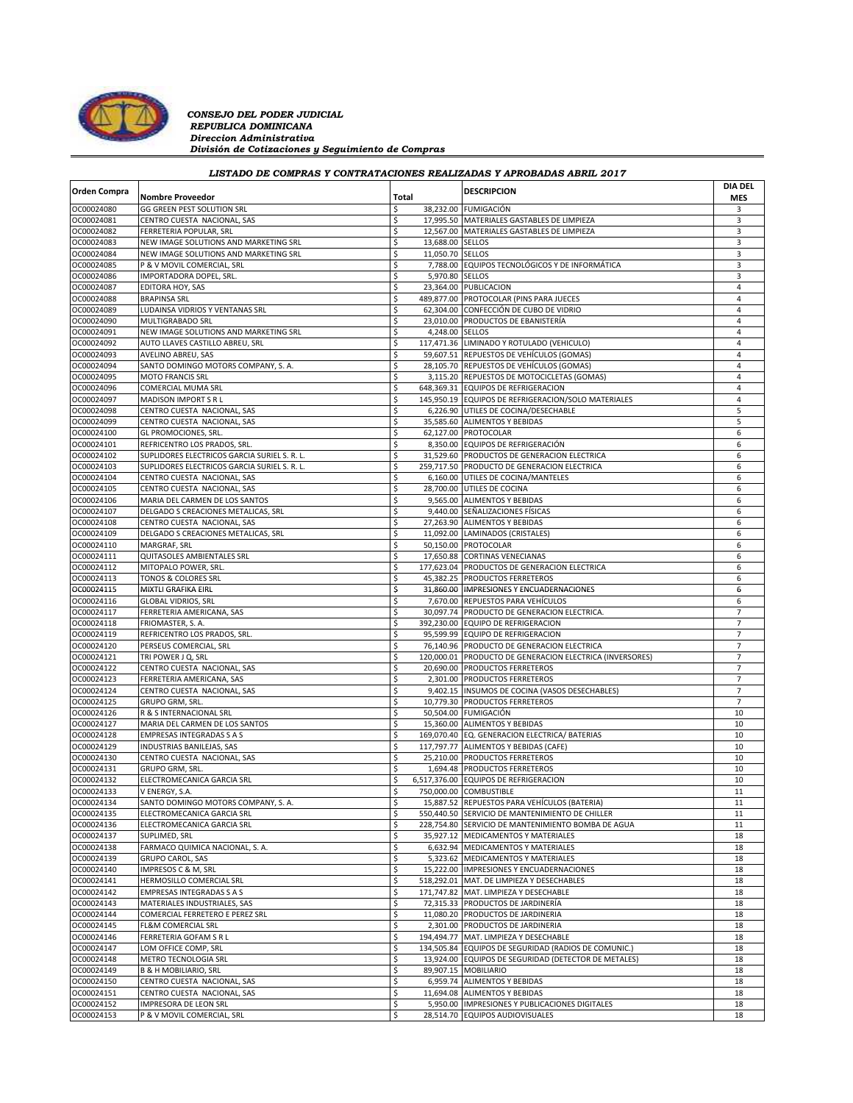

*CONSEJO DEL PODER JUDICIAL REPUBLICA DOMINICANA Direccion Administrativa División de Cotizaciones y Seguimiento de Compras*

## *LISTADO DE COMPRAS Y CONTRATACIONES REALIZADAS Y APROBADAS ABRIL 2017*

| <b>Orden Compra</b> |                                              |       |                  | <b>DESCRIPCION</b>                                       | <b>DIA DEL</b> |
|---------------------|----------------------------------------------|-------|------------------|----------------------------------------------------------|----------------|
|                     | <b>Nombre Proveedor</b>                      | Total |                  |                                                          | <b>MES</b>     |
| OC00024080          | GG GREEN PEST SOLUTION SRL                   | \$    |                  | 38,232.00 FUMIGACIÓN                                     | 3              |
| OC00024081          | CENTRO CUESTA NACIONAL, SAS                  | \$    |                  | 17,995.50 MATERIALES GASTABLES DE LIMPIEZA               | 3              |
| OC00024082          | FERRETERIA POPULAR, SRL                      | \$    |                  | 12,567.00 MATERIALES GASTABLES DE LIMPIEZA               | 3              |
| OC00024083          | NEW IMAGE SOLUTIONS AND MARKETING SRL        | \$    | 13,688.00 SELLOS |                                                          | 3              |
| OC00024084          | NEW IMAGE SOLUTIONS AND MARKETING SRL        | \$    | 11,050.70 SELLOS |                                                          | 3              |
| OC00024085          | P & V MOVIL COMERCIAL, SRL                   | \$    |                  | 7,788.00 EQUIPOS TECNOLÓGICOS Y DE INFORMÁTICA           | 3              |
| OC00024086          | IMPORTADORA DOPEL, SRL.                      | \$    | 5,970.80 SELLOS  |                                                          | 3              |
|                     |                                              |       |                  |                                                          |                |
| OC00024087          | EDITORA HOY, SAS                             | \$    |                  | 23,364.00 PUBLICACION                                    | $\overline{4}$ |
| OC00024088          | <b>BRAPINSA SRL</b>                          | \$    |                  | 489,877.00 PROTOCOLAR (PINS PARA JUECES                  | 4              |
| OC00024089          | LUDAINSA VIDRIOS Y VENTANAS SRL              | \$    |                  | 62,304.00 CONFECCIÓN DE CUBO DE VIDRIO                   | $\overline{4}$ |
| OC00024090          | MULTIGRABADO SRL                             | \$    |                  | 23,010.00 PRODUCTOS DE EBANISTERÍA                       | $\overline{4}$ |
| OC00024091          | NEW IMAGE SOLUTIONS AND MARKETING SRL        | \$    | 4,248.00 SELLOS  |                                                          | 4              |
| OC00024092          | AUTO LLAVES CASTILLO ABREU, SRL              | \$    |                  | 117,471.36 LIMINADO Y ROTULADO (VEHICULO)                | $\overline{4}$ |
| OC00024093          | AVELINO ABREU, SAS                           | \$    |                  | 59,607.51 REPUESTOS DE VEHÍCULOS (GOMAS)                 | 4              |
| OC00024094          | SANTO DOMINGO MOTORS COMPANY, S. A.          | \$    |                  | 28,105.70 REPUESTOS DE VEHÍCULOS (GOMAS)                 | $\overline{4}$ |
| OC00024095          | <b>MOTO FRANCIS SRL</b>                      | \$    |                  | 3,115.20 REPUESTOS DE MOTOCICLETAS (GOMAS)               | $\overline{4}$ |
|                     |                                              |       |                  |                                                          |                |
| OC00024096          | COMERCIAL MUMA SRL                           | \$    |                  | 648,369.31 EQUIPOS DE REFRIGERACION                      | 4              |
| OC00024097          | <b>MADISON IMPORT S R L</b>                  | \$    |                  | 145,950.19 EQUIPOS DE REFRIGERACION/SOLO MATERIALES      | $\overline{4}$ |
| OC00024098          | CENTRO CUESTA NACIONAL, SAS                  | \$    |                  | 6,226.90 UTILES DE COCINA/DESECHABLE                     | 5              |
| OC00024099          | CENTRO CUESTA NACIONAL, SAS                  | \$    |                  | 35,585.60 ALIMENTOS Y BEBIDAS                            | 5              |
| OC00024100          | GL PROMOCIONES, SRL.                         | \$    |                  | 62,127.00 PROTOCOLAR                                     | 6              |
| OC00024101          | REFRICENTRO LOS PRADOS, SRL.                 | \$    |                  | 8,350.00 EQUIPOS DE REFRIGERACIÓN                        | 6              |
| OC00024102          | SUPLIDORES ELECTRICOS GARCIA SURIEL S. R. L. | \$    |                  | 31,529.60 PRODUCTOS DE GENERACION ELECTRICA              | 6              |
| OC00024103          | SUPLIDORES ELECTRICOS GARCIA SURIEL S. R. L. | \$    |                  | 259,717.50 PRODUCTO DE GENERACION ELECTRICA              | 6              |
|                     |                                              |       |                  |                                                          |                |
| OC00024104          | CENTRO CUESTA NACIONAL, SAS                  | \$    |                  | 6,160.00 UTILES DE COCINA/MANTELES                       | 6              |
| OC00024105          | CENTRO CUESTA NACIONAL, SAS                  | \$    |                  | 28,700.00 UTILES DE COCINA                               | 6              |
| OC00024106          | MARIA DEL CARMEN DE LOS SANTOS               | \$    |                  | 9.565.00 ALIMENTOS Y BEBIDAS                             | 6              |
| OC00024107          | DELGADO S CREACIONES METALICAS, SRL          | \$    |                  | 9,440.00 SEÑALIZACIONES FÍSICAS                          | 6              |
| OC00024108          | CENTRO CUESTA NACIONAL, SAS                  | \$    |                  | 27,263.90 ALIMENTOS Y BEBIDAS                            | 6              |
| OC00024109          | DELGADO S CREACIONES METALICAS, SRL          | \$    |                  | 11,092.00 LAMINADOS (CRISTALES)                          | 6              |
| OC00024110          | MARGRAF, SRL                                 | \$    |                  | 50,150.00 PROTOCOLAR                                     | 6              |
|                     |                                              | \$    |                  |                                                          |                |
| OC00024111          | QUITASOLES AMBIENTALES SRL                   |       |                  | 17,650.88 CORTINAS VENECIANAS                            | 6              |
| OC00024112          | MITOPALO POWER, SRL.                         | \$    |                  | 177,623.04 PRODUCTOS DE GENERACION ELECTRICA             | 6              |
| OC00024113          | TONOS & COLORES SRL                          | \$    |                  | 45,382.25 PRODUCTOS FERRETEROS                           | 6              |
| OC00024115          | MIXTLI GRAFIKA EIRL                          | \$    |                  | 31,860.00  IMPRESIONES Y ENCUADERNACIONES                | 6              |
| OC00024116          | <b>GLOBAL VIDRIOS, SRL</b>                   | \$    |                  | 7,670.00 REPUESTOS PARA VEHÍCULOS                        | 6              |
| OC00024117          | FERRETERIA AMERICANA, SAS                    | \$    |                  | 30,097.74 PRODUCTO DE GENERACION ELECTRICA.              | $\overline{7}$ |
| OC00024118          | FRIOMASTER, S. A.                            | \$    |                  | 392,230.00 EQUIPO DE REFRIGERACION                       | $\overline{7}$ |
|                     |                                              |       |                  |                                                          |                |
| OC00024119          | REFRICENTRO LOS PRADOS, SRL.                 | \$    |                  | 95,599.99 EQUIPO DE REFRIGERACION                        | $\overline{7}$ |
| OC00024120          | PERSEUS COMERCIAL, SRL                       | \$    |                  | 76,140.96 PRODUCTO DE GENERACION ELECTRICA               | $\overline{7}$ |
| OC00024121          | TRI POWER J Q, SRL                           | \$    |                  | 120,000.01 PRODUCTO DE GENERACION ELECTRICA (INVERSORES) | $\overline{7}$ |
| OC00024122          | CENTRO CUESTA NACIONAL, SAS                  | \$    |                  | 20,690.00 PRODUCTOS FERRETEROS                           | $\overline{7}$ |
| OC00024123          | FERRETERIA AMERICANA, SAS                    | \$    |                  | 2,301.00 PRODUCTOS FERRETEROS                            | $\overline{7}$ |
| OC00024124          | CENTRO CUESTA NACIONAL, SAS                  | \$    |                  | 9,402.15  INSUMOS DE COCINA (VASOS DESECHABLES)          | $\overline{7}$ |
| OC00024125          | GRUPO GRM, SRL.                              | \$    |                  | 10,779.30 PRODUCTOS FERRETEROS                           | $\overline{7}$ |
| OC00024126          | R & S INTERNACIONAL SRL                      | \$    |                  | 50,504.00 FUMIGACIÓN                                     | 10             |
|                     |                                              |       |                  |                                                          |                |
| OC00024127          | MARIA DEL CARMEN DE LOS SANTOS               | \$    |                  | 15,360.00 ALIMENTOS Y BEBIDAS                            | 10             |
| OC00024128          | <b>EMPRESAS INTEGRADAS S A S</b>             | \$    |                  | 169,070.40 EQ. GENERACION ELECTRICA/ BATERIAS            | 10             |
| OC00024129          | INDUSTRIAS BANILEJAS, SAS                    | \$    |                  | 117,797.77 ALIMENTOS Y BEBIDAS (CAFE)                    | 10             |
| OC00024130          | CENTRO CUESTA NACIONAL, SAS                  | \$    |                  | 25,210.00 PRODUCTOS FERRETEROS                           | 10             |
| OC00024131          | GRUPO GRM, SRL.                              | \$    |                  | 1,694.48 PRODUCTOS FERRETEROS                            | 10             |
| OC00024132          | ELECTROMECANICA GARCIA SRL                   | \$    |                  | 6,517,376.00 EQUIPOS DE REFRIGERACION                    | 10             |
| OC00024133          | V ENERGY, S.A.                               | \$    |                  | 750,000.00 COMBUSTIBLE                                   | 11             |
|                     |                                              |       |                  |                                                          |                |
| OC00024134          | SANTO DOMINGO MOTORS COMPANY, S. A.          | \$    |                  | 15,887.52 REPUESTOS PARA VEHÍCULOS (BATERIA)             | 11             |
| OC00024135          | ELECTROMECANICA GARCIA SRL                   | \$    |                  | 550,440.50 SERVICIO DE MANTENIMIENTO DE CHILLER          | 11             |
| OC00024136          | ELECTROMECANICA GARCIA SRL                   | \$    |                  | 228,754.80 SERVICIO DE MANTENIMIENTO BOMBA DE AGUA       | 11             |
| OC00024137          | SUPLIMED, SRL                                | \$    |                  | 35,927.12 MEDICAMENTOS Y MATERIALES                      | 18             |
| OC00024138          | FARMACO QUIMICA NACIONAL, S. A.              | \$    |                  | 6,632.94 MEDICAMENTOS Y MATERIALES                       | 18             |
| OC00024139          | <b>GRUPO CAROL, SAS</b>                      | \$    |                  | 5,323.62 MEDICAMENTOS Y MATERIALES                       | 18             |
| OC00024140          | IMPRESOS C & M, SRL                          | \$    |                  | 15.222.00 IMPRESIONES Y ENCUADERNACIONES                 | 18             |
| OC00024141          | HERMOSILLO COMERCIAL SRL                     | \$    |                  | 518,292.01 MAT. DE LIMPIEZA Y DESECHABLES                | 18             |
|                     |                                              |       |                  |                                                          |                |
| OC00024142          | <b>EMPRESAS INTEGRADAS S A S</b>             | \$    |                  | 171.747.82 MAT. LIMPIEZA Y DESECHABLE                    | 18             |
| OC00024143          | MATERIALES INDUSTRIALES, SAS                 | \$    |                  | 72,315.33 PRODUCTOS DE JARDINERÍA                        | 18             |
| OC00024144          | COMERCIAL FERRETERO E PEREZ SRL              | \$    |                  | 11,080.20 PRODUCTOS DE JARDINERIA                        | 18             |
| OC00024145          | FL&M COMERCIAL SRL                           | \$    |                  | 2,301.00 PRODUCTOS DE JARDINERIA                         | 18             |
| OC00024146          | FERRETERIA GOFAM S R L                       | \$    |                  | 194,494.77 MAT. LIMPIEZA Y DESECHABLE                    | 18             |
| OC00024147          | LOM OFFICE COMP, SRL                         | \$    |                  | 134,505.84 EQUIPOS DE SEGURIDAD (RADIOS DE COMUNIC.)     | 18             |
| OC00024148          | METRO TECNOLOGIA SRL                         | \$    |                  | 13,924.00 EQUIPOS DE SEGURIDAD (DETECTOR DE METALES)     | 18             |
|                     |                                              |       |                  |                                                          |                |
| OC00024149          | <b>B &amp; H MOBILIARIO, SRL</b>             | \$    |                  | 89,907.15 MOBILIARIO                                     | 18             |
| OC00024150          | CENTRO CUESTA NACIONAL, SAS                  | \$    |                  | 6,959.74 ALIMENTOS Y BEBIDAS                             | 18             |
| OC00024151          | CENTRO CUESTA NACIONAL, SAS                  | \$    |                  | 11,694.08 ALIMENTOS Y BEBIDAS                            | 18             |
| OC00024152          | IMPRESORA DE LEON SRL                        | \$    |                  | 5,950.00  IMPRESIONES Y PUBLICACIONES DIGITALES          | 18             |
| OC00024153          | P & V MOVIL COMERCIAL, SRL                   | \$    |                  | 28,514.70 EQUIPOS AUDIOVISUALES                          | 18             |